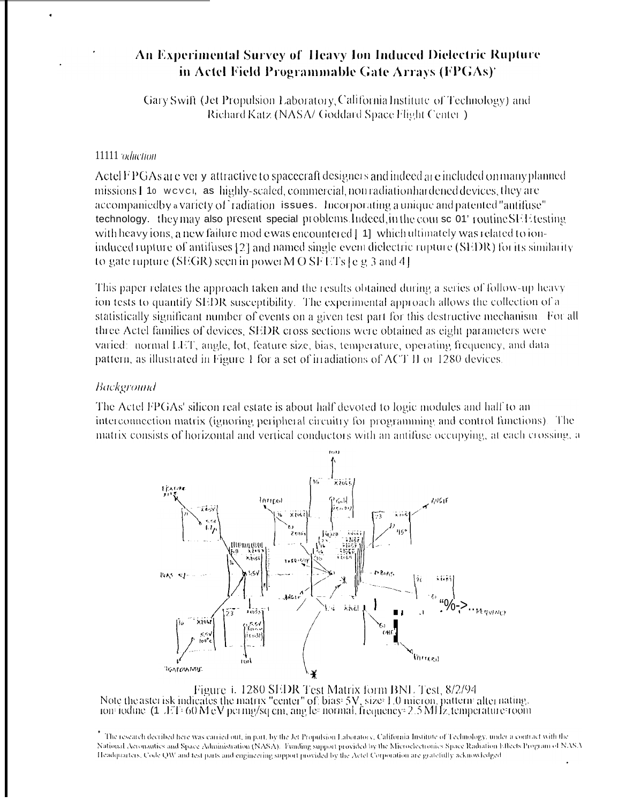# An Experimental Survey of Heavy Ion Induced Dielectric Rupture in Actel Field Programmable Gate Arrays (FPGAs)'

Gary Swift (Jet Propulsion Laboratory, California Institute of Technology) and Richard Katz (NASA/ Goddard Space Flight Center.)

## 11111 oduction

Actel F PGAs are very attractive to spacecraft designers and indeed are included on many planned missions I to wever, as highly-scaled, commercial, non radiation hardened devices, they are accompanied by a variety of radiation issues. Incorporating a unique and patented "antifuse" technology. they may also present special problems Indeed, in the course 01' routine SEE testing with heavy ions, a new failure mod e was encountered [41] which ultimately was related to ioninduced rupture of antifuses [2] and named single event dielectric rupture (SEDR) for its similarity to gate rupture (SEGR) seen in power M O SF ETs  $\lceil e \rceil$  g 3 and 4.

This paper relates the approach taken and the results obtained during a series of follow-up heavy ion tests to quantify SEDR susceptibility. The experimental approach allows the collection of a statistically significant number of events on a given test part for this destructive mechanism. For all three Actel families of devices, SEDR cross sections were obtained as eight parameters were varied: normal LET, angle, lot, feature size, bias, temperature, operating frequency, and data pattern, as illustrated in Figure 1 for a set of irradiations of ACT II or 1280 devices.

## Background

The Actel FPGAs' silicon real estate is about half devoted to logic modules and half to an interconnection matrix (ignoring peripheral circuitry for programming and control functions). The matrix consists of horizontal and vertical conductors with an antifuse occupying, at each crossing, a



Figure 1. 1280 SEDR Test Matrix form BNL Test, 8/2/94<br>Note the aster isk indicates the matrix "center" of: bias: 5V, size: 1.0 micron, pattern: alter nating,<br>Ion: iodine (1. ET: 60 MeV per mg/sq cm, ang les normal, frequen

\* The research decribed here was carried out, in part, by the Jet Propulsion Laboratory, California Institute of Technology, under a contract with the National Acconautics and Space Administration (NASA). Funding support provided by the Microelectronics Space Radiation Effects Program of NASA Headquarters, Code QW and test parts and engineering support provided by the Actel Corporation are gratefully acknowledged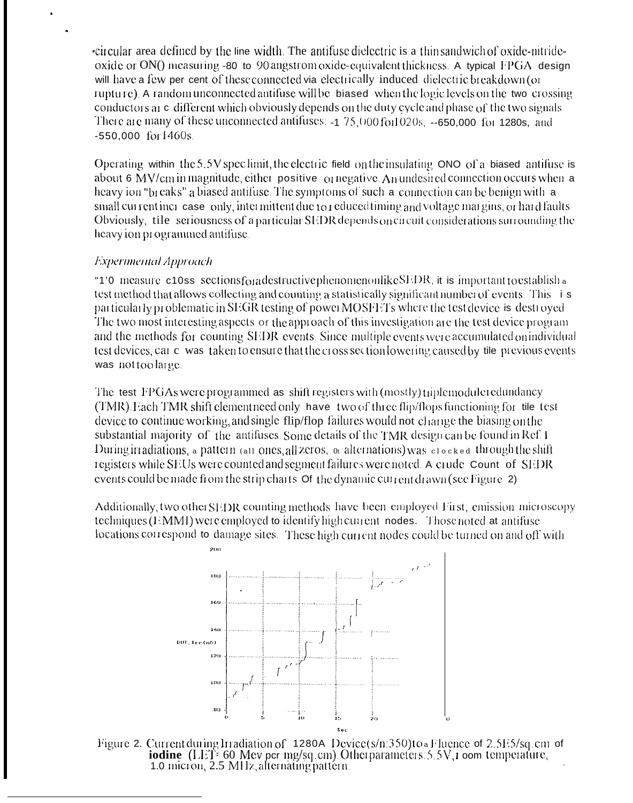-circular area defined by the line width. The antifuse dielectric is a thin sandwich of oxide-nitrideoxide or ON() measuring -80 to 90 angstrom oxide-equivalent thickness. A typical FPGA design will have a few per cent of these connected via electrically induced dielectric breakdown (or rupture). A random unconnected antifuse will be biased when the logic levels on the two crossing conductors at c different which obviously depends on the duty cycle and phase of the two signals There are many of these unconnected antifuses: -1 75,000 for 1020s, --650,000 for 1280s, and -550,000 for 1460s.

Operating within the 5.5V specimit, the electric field on the insulating  $\overline{O}$  NO of a biased antifuse is about 6 MV/cm in magnitude, either positive  $\alpha$  negative. An undesired connection occurs when a heavy ion "breaks" a biased antifuse. The symptoms of such a connection can be benign with a small current increase only, intermittent due to reduced timing and voltage margins, or hard faults Obviously, tile seriousness of a particular SEDR depends on circuit considerations surrounding the heavy ion programmed antifuse.

# **Experimental Approach**

"1'0 measure c10ss sectionsforadestructive phenomenonlike SEDR, it is important to establish a test method that allows collecting and counting a statistically significant number of events. This is particularly problematic in SEGR testing of powerMOSFETs where the test device is destroyed The two most interesting aspects or the approach of this investigation are the test device program and the methods for counting SEDR events. Since multiple events were accumulated on individual test devices, car c was taken to ensure that the cross section lowering caused by tile previous events was not too large.

The test FPGAs were programmed as shift registers with (mostly) triple module redundancy (TMR), Each TMR shift element need only have two of three flip/flops functioning for tile test device to continue working, and single flip/flop failures would not change the biasing on the substantial majority of the antifuses. Some details of the TMR design can be found in Ref. 1 During irradiations, a pattern (all ones, all zeros, or alternations) was clocked through the shift registers while SEUs were counted and segment failures were noted. A crude Count of SEDR events could be made from the strip charts  $\sigma$  the dynamic current drawn (see Figure 2)

Additionally, two other SEDR counting methods have been employed First, emission microscopy techniques (EMMI) were employed to identify high current nodes. Those noted at antifuse locations correspond to damage sites. These high current nodes could be turned on and off with



Figure 2. Current during Irradiation of 1280A Device(s/n:350)to Fluence of 2.5E5/sq.cm of iodine (LET= 60 Mev per mg/sq.cm). Other parameters: 5.5V, i oom temperature,<br>1.0 micron, 2.5 MHz, alternating pattern.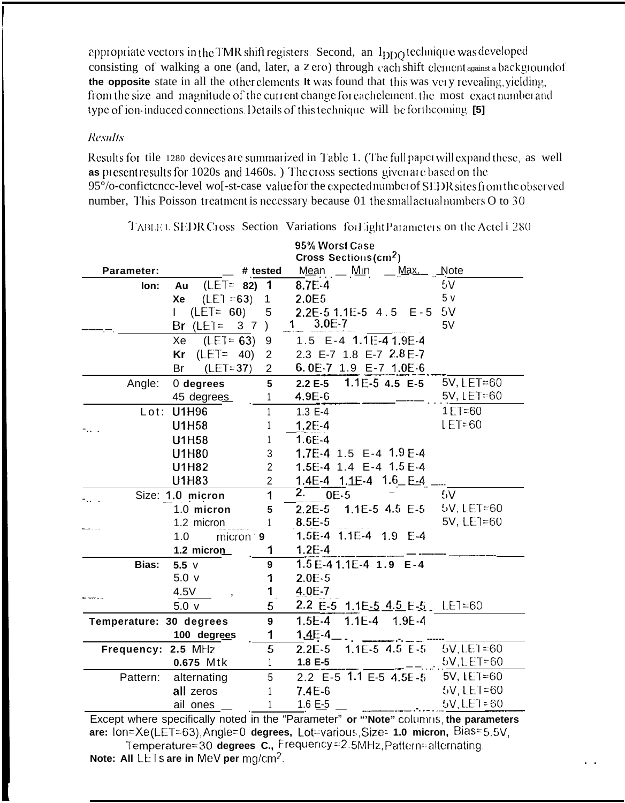appropriate vectors in the TMR shift registers. Second, an Ippo technique was developed consisting of walking a one (and, later, a zero) through each shift element against a background of the opposite state in all the other elements. It was found that this was very revealing, yielding, from the size and magnitude of the current change for each element, the most exact number and type of ion-induced connections. Details of this technique will be forthcoming [5]

## **Results**

Results for tile 1280 devices are summarized in Table 1. (The full paper will expand these, as well as present results for 1020s and 1460s.) The cross sections given are based on the 95% o-confictence-level wol-st-case value for the expected number of SEDR sites from the observed number, This Poisson treatment is necessary because 01 the small actual numbers O to 30

|                         |                                        |                | 95% Worst Case                        |                |
|-------------------------|----------------------------------------|----------------|---------------------------------------|----------------|
|                         | <b>Cross Sections (cm<sup>2</sup>)</b> |                |                                       |                |
| Parameter:              |                                        | # tested       | Mean __ Min __ Max__ Note             |                |
| lon:                    | $(LET = 82)$<br>Au                     | $\mathbf{1}$   | $8.7E-4$                              | 5V             |
|                         | $(LET = 63)$<br>Xe                     | $\mathbf{1}$   | 2.0E5                                 | 5 <sub>v</sub> |
|                         | $(LET = 60)$<br>$\mathbf{L}$           | 5              | $2.2E-51.1E-54.5E-5$                  | 5V             |
|                         | Br (LET= $37$ )                        |                | $1 3.0E-7$                            | 5V             |
|                         | $Xe$ (LET= 63) 9                       |                | 1.5 E-4 1.1E-4 1.9E-4                 |                |
|                         | $(LET = 40)$<br>Kr                     | $\overline{2}$ | 2.3 E-7 1.8 E-7 2.8 E-7               |                |
|                         | $(LET=37)$<br>Br                       | $\overline{2}$ | 6.0E-7 1.9 E-7 1.0E-6                 |                |
| Angle:                  | 0 degrees                              | 5              | 2.2 E-5 $1.1E-5$ 4.5 E-5              | 5V, LET=60     |
|                         | 45 degrees                             | 1              | $4.9E - 6$                            | 5V, LET=60     |
|                         | Lot: U1H96                             |                | $1.3 E-4$                             | $1 E T = 60$   |
|                         | <b>U1H58</b>                           |                | $1.2E-4$                              | $LET = 60$     |
|                         | <b>U1H58</b>                           |                | 1.6E-4                                |                |
|                         | <b>U1H80</b>                           | 3              | 1.7E-4 1.5 E-4 1.9 E-4                |                |
|                         | U1H82                                  | $\overline{2}$ | 1.5E-4 1.4 E-4 1.5 E-4                |                |
|                         | U1H83                                  | $\overline{2}$ | 1.4E-4 1.1E-4 1.6 E-4                 |                |
|                         | Size: 1.0 micron                       | $\mathbf{1}$   | 2 <sub>1</sub><br>$OE-5$              | 5V             |
|                         | 1.0 micron                             | 5              | $2.2E-5$ 1.1E-5 4.5 E-5               | $5V$ , LET=60  |
|                         | 1.2 micron                             |                | $8.5E - 5$                            | 5V, LE1=60     |
|                         | 1.0<br>micron <sup>-</sup> 9           |                | 1.5E-4 1.1E-4 1.9 E-4                 |                |
|                         | $1.2$ micron                           | 1              | $1.2E-4$                              |                |
| <b>Bias:</b>            | $5.5$ $V$                              | 9              | $1.5E-41.1E-41.9E-4$                  |                |
|                         | 5.0 <sub>v</sub>                       | 1              | $2.0E-5$                              |                |
|                         | 4.5V                                   | 1              | 4.0E-7                                |                |
|                         | 5.0 <sub>v</sub>                       | 5              | 2.2 E-5 1.1E <u>-5 4.5 E-5</u> LET=60 |                |
| Temperature: 30 degrees |                                        | $\mathbf{9}$   | 1.5E-4 1.1E-4 1.9E-4                  |                |
|                         | 100 degrees                            | 1              | $1.4E - 4$                            |                |
| Frequency: 2.5 MHz      |                                        | 5              | $1.1E-5$ 4.5 $E-5$<br>$2.2E-5$        | $5V, LEI = 60$ |
|                         | 0.675 Mtk                              | $\mathbf{1}$   | 1.8 E-5                               | 5V, LET=60     |
|                         | Pattern: alternating                   | 5              | 2.2 $\overline{E}$ -5 1.1 E-5 4.5E-5  | 5V, LET=60     |
|                         | all zeros                              | 1              | $7.4E-6$                              | 5V. LET=60     |
|                         | ail ones                               |                | 1.6 $E - 5$                           | $5V,$ LET = 60 |
|                         | $\sim$                                 |                |                                       |                |

TABLET. SEDR Cross Section Variations for Light Parameters on the Actel i 280

Except where specifically noted in the "Parameter" or "Note" columns, the parameters are: lon=Xe(LET=63), Angle=0 degrees, Lot=various, Size= 1.0 micron, Bias= 5.5V, Temperature=30 degrees C., Frequency=2.5MHz Pattern=alternating Note: All LETs are in MeV per mg/cm<sup>2</sup>.